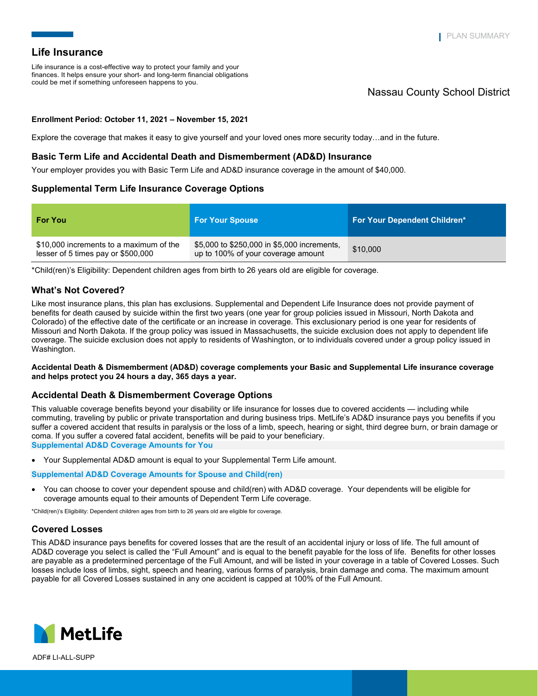Life insurance is a cost-effective way to protect your family and your finances. It helps ensure your short- and long-term financial obligations could be met if something unforeseen happens to you.

# Nassau County School District

## **Enrollment Period: October 11, 2021 – November 15, 2021**

Explore the coverage that makes it easy to give yourself and your loved ones more security today…and in the future.

## **Basic Term Life and Accidental Death and Dismemberment (AD&D) Insurance**

Your employer provides you with Basic Term Life and AD&D insurance coverage in the amount of \$40,000.

# **Supplemental Term Life Insurance Coverage Options**

| <b>For You</b>                                                                | <b>For Your Spouse</b>                                                            | <b>For Your Dependent Children*</b> |
|-------------------------------------------------------------------------------|-----------------------------------------------------------------------------------|-------------------------------------|
| \$10,000 increments to a maximum of the<br>lesser of 5 times pay or \$500,000 | \$5,000 to \$250,000 in \$5,000 increments,<br>up to 100% of your coverage amount | \$10,000                            |

\*Child(ren)'s Eligibility: Dependent children ages from birth to 26 years old are eligible for coverage.

## **What's Not Covered?**

Like most insurance plans, this plan has exclusions. Supplemental and Dependent Life Insurance does not provide payment of benefits for death caused by suicide within the first two years (one year for group policies issued in Missouri, North Dakota and Colorado) of the effective date of the certificate or an increase in coverage. This exclusionary period is one year for residents of Missouri and North Dakota. If the group policy was issued in Massachusetts, the suicide exclusion does not apply to dependent life coverage. The suicide exclusion does not apply to residents of Washington, or to individuals covered under a group policy issued in Washington.

### **Accidental Death & Dismemberment (AD&D) coverage complements your Basic and Supplemental Life insurance coverage and helps protect you 24 hours a day, 365 days a year.**

## **Accidental Death & Dismemberment Coverage Options**

This valuable coverage benefits beyond your disability or life insurance for losses due to covered accidents — including while commuting, traveling by public or private transportation and during business trips. MetLife's AD&D insurance pays you benefits if you suffer a covered accident that results in paralysis or the loss of a limb, speech, hearing or sight, third degree burn, or brain damage or coma. If you suffer a covered fatal accident, benefits will be paid to your beneficiary. **Supplemental AD&D Coverage Amounts for You** 

Your Supplemental AD&D amount is equal to your Supplemental Term Life amount.

### **Supplemental AD&D Coverage Amounts for Spouse and Child(ren)**

 You can choose to cover your dependent spouse and child(ren) with AD&D coverage. Your dependents will be eligible for coverage amounts equal to their amounts of Dependent Term Life coverage.

\*Child(ren)'s Eligibility: Dependent children ages from birth to 26 years old are eligible for coverage.

# **Covered Losses**

This AD&D insurance pays benefits for covered losses that are the result of an accidental injury or loss of life. The full amount of AD&D coverage you select is called the "Full Amount" and is equal to the benefit payable for the loss of life. Benefits for other losses are payable as a predetermined percentage of the Full Amount, and will be listed in your coverage in a table of Covered Losses. Such losses include loss of limbs, sight, speech and hearing, various forms of paralysis, brain damage and coma. The maximum amount payable for all Covered Losses sustained in any one accident is capped at 100% of the Full Amount.



ADF# LI-ALL-SUPP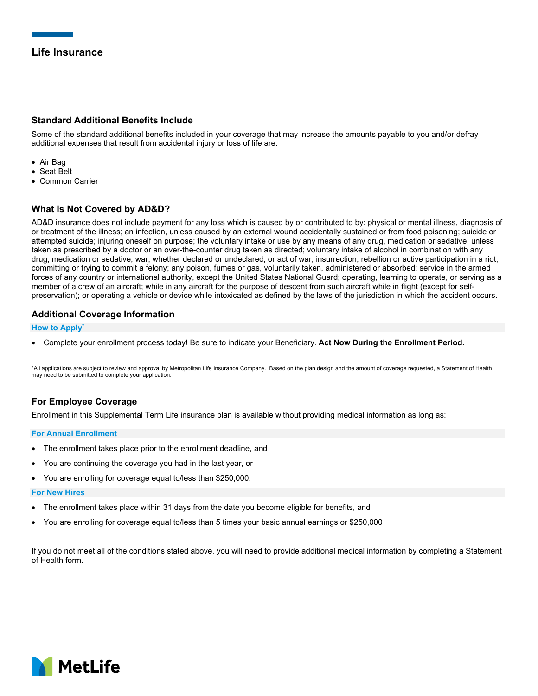# **Standard Additional Benefits Include**

Some of the standard additional benefits included in your coverage that may increase the amounts payable to you and/or defray additional expenses that result from accidental injury or loss of life are:

- Air Bag
- Seat Belt
- Common Carrier

# **What Is Not Covered by AD&D?**

AD&D insurance does not include payment for any loss which is caused by or contributed to by: physical or mental illness, diagnosis of or treatment of the illness; an infection, unless caused by an external wound accidentally sustained or from food poisoning; suicide or attempted suicide; injuring oneself on purpose; the voluntary intake or use by any means of any drug, medication or sedative, unless taken as prescribed by a doctor or an over-the-counter drug taken as directed; voluntary intake of alcohol in combination with any drug, medication or sedative; war, whether declared or undeclared, or act of war, insurrection, rebellion or active participation in a riot; committing or trying to commit a felony; any poison, fumes or gas, voluntarily taken, administered or absorbed; service in the armed forces of any country or international authority, except the United States National Guard; operating, learning to operate, or serving as a member of a crew of an aircraft; while in any aircraft for the purpose of descent from such aircraft while in flight (except for selfpreservation); or operating a vehicle or device while intoxicated as defined by the laws of the jurisdiction in which the accident occurs.

# **Additional Coverage Information**

## **How to Apply\***

Complete your enrollment process today! Be sure to indicate your Beneficiary. **Act Now During the Enrollment Period.** 

\*All applications are subject to review and approval by Metropolitan Life Insurance Company. Based on the plan design and the amount of coverage requested, a Statement of Health may need to be submitted to complete your application.

# **For Employee Coverage**

Enrollment in this Supplemental Term Life insurance plan is available without providing medical information as long as:

### **For Annual Enrollment**

- The enrollment takes place prior to the enrollment deadline, and
- You are continuing the coverage you had in the last year, or
- You are enrolling for coverage equal to/less than \$250,000.

## **For New Hires**

- The enrollment takes place within 31 days from the date you become eligible for benefits, and
- You are enrolling for coverage equal to/less than 5 times your basic annual earnings or \$250,000

If you do not meet all of the conditions stated above, you will need to provide additional medical information by completing a Statement of Health form.

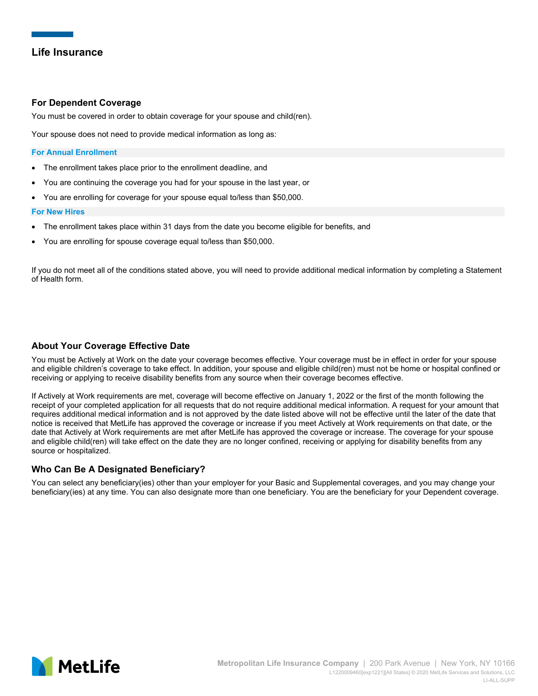## **For Dependent Coverage**

You must be covered in order to obtain coverage for your spouse and child(ren).

Your spouse does not need to provide medical information as long as:

### **For Annual Enrollment**

- The enrollment takes place prior to the enrollment deadline, and
- You are continuing the coverage you had for your spouse in the last year, or
- You are enrolling for coverage for your spouse equal to/less than \$50,000.

### **For New Hires**

- The enrollment takes place within 31 days from the date you become eligible for benefits, and
- You are enrolling for spouse coverage equal to/less than \$50,000.

If you do not meet all of the conditions stated above, you will need to provide additional medical information by completing a Statement of Health form.

## **About Your Coverage Effective Date**

You must be Actively at Work on the date your coverage becomes effective. Your coverage must be in effect in order for your spouse and eligible children's coverage to take effect. In addition, your spouse and eligible child(ren) must not be home or hospital confined or receiving or applying to receive disability benefits from any source when their coverage becomes effective.

If Actively at Work requirements are met, coverage will become effective on January 1, 2022 or the first of the month following the receipt of your completed application for all requests that do not require additional medical information. A request for your amount that requires additional medical information and is not approved by the date listed above will not be effective until the later of the date that notice is received that MetLife has approved the coverage or increase if you meet Actively at Work requirements on that date, or the date that Actively at Work requirements are met after MetLife has approved the coverage or increase. The coverage for your spouse and eligible child(ren) will take effect on the date they are no longer confined, receiving or applying for disability benefits from any source or hospitalized.

## **Who Can Be A Designated Beneficiary?**

You can select any beneficiary(ies) other than your employer for your Basic and Supplemental coverages, and you may change your beneficiary(ies) at any time. You can also designate more than one beneficiary. You are the beneficiary for your Dependent coverage.

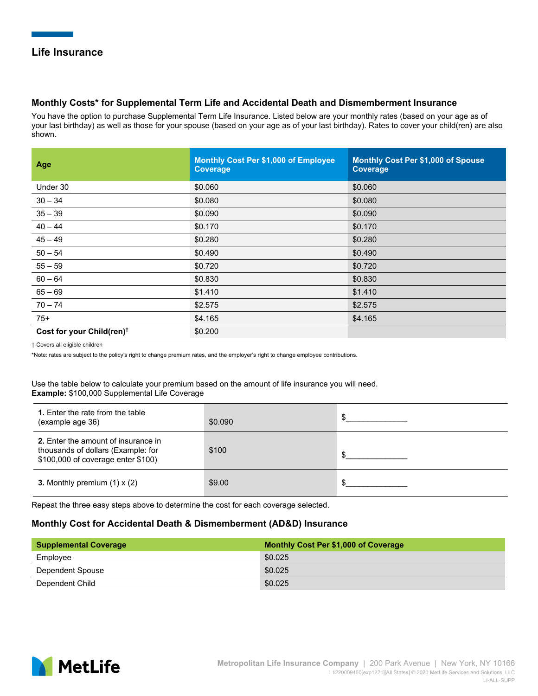## **Monthly Costs\* for Supplemental Term Life and Accidental Death and Dismemberment Insurance**

You have the option to purchase Supplemental Term Life Insurance. Listed below are your monthly rates (based on your age as of your last birthday) as well as those for your spouse (based on your age as of your last birthday). Rates to cover your child(ren) are also shown.

| Age                                   | Monthly Cost Per \$1,000 of Employee<br><b>Coverage</b> | Monthly Cost Per \$1,000 of Spouse<br>Coverage |
|---------------------------------------|---------------------------------------------------------|------------------------------------------------|
| Under 30                              | \$0.060                                                 | \$0.060                                        |
| $30 - 34$                             | \$0.080                                                 | \$0.080                                        |
| $35 - 39$                             | \$0.090                                                 | \$0.090                                        |
| $40 - 44$                             | \$0.170                                                 | \$0.170                                        |
| $45 - 49$                             | \$0.280                                                 | \$0.280                                        |
| $50 - 54$                             | \$0.490                                                 | \$0.490                                        |
| $55 - 59$                             | \$0.720                                                 | \$0.720                                        |
| $60 - 64$                             | \$0.830                                                 | \$0.830                                        |
| $65 - 69$                             | \$1.410                                                 | \$1.410                                        |
| $70 - 74$                             | \$2.575                                                 | \$2.575                                        |
| $75+$                                 | \$4.165                                                 | \$4.165                                        |
| Cost for your Child(ren) <sup>t</sup> | \$0.200                                                 |                                                |

† Covers all eligible children

\*Note: rates are subject to the policy's right to change premium rates, and the employer's right to change employee contributions.

Use the table below to calculate your premium based on the amount of life insurance you will need. **Example:** \$100,000 Supplemental Life Coverage

| 1. Enter the rate from the table<br>(example age 36)                                                            | \$0.090 |  |
|-----------------------------------------------------------------------------------------------------------------|---------|--|
| 2. Enter the amount of insurance in<br>thousands of dollars (Example: for<br>\$100,000 of coverage enter \$100) | \$100   |  |
| 3. Monthly premium $(1) \times (2)$                                                                             | \$9.00  |  |

Repeat the three easy steps above to determine the cost for each coverage selected.

## **Monthly Cost for Accidental Death & Dismemberment (AD&D) Insurance**

| Supplemental Coverage | <b>Monthly Cost Per \$1,000 of Coverage</b> |
|-----------------------|---------------------------------------------|
| Employee              | \$0.025                                     |
| Dependent Spouse      | \$0.025                                     |
| Dependent Child       | \$0.025                                     |

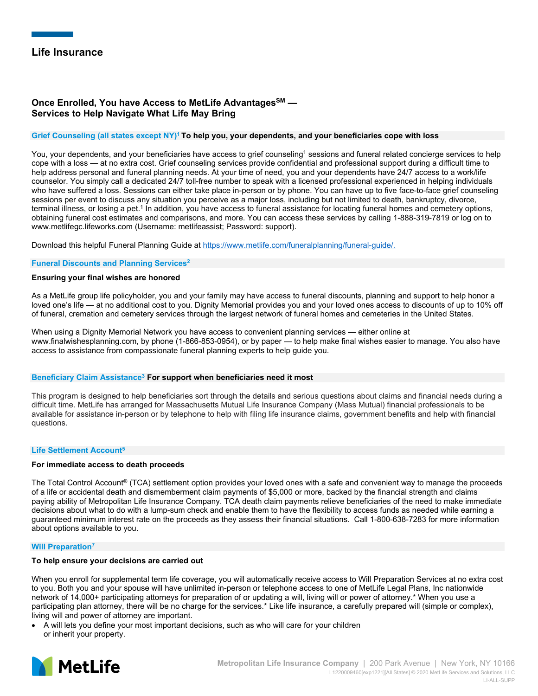# **Once Enrolled, You have Access to MetLife AdvantagesSM — Services to Help Navigate What Life May Bring**

## **Grief Counseling (all states except NY)1 To help you, your dependents, and your beneficiaries cope with loss**

You, your dependents, and your beneficiaries have access to grief counseling<sup>1</sup> sessions and funeral related concierge services to help cope with a loss — at no extra cost. Grief counseling services provide confidential and professional support during a difficult time to help address personal and funeral planning needs. At your time of need, you and your dependents have 24/7 access to a work/life counselor. You simply call a dedicated 24/7 toll-free number to speak with a licensed professional experienced in helping individuals who have suffered a loss. Sessions can either take place in-person or by phone. You can have up to five face-to-face grief counseling sessions per event to discuss any situation you perceive as a major loss, including but not limited to death, bankruptcy, divorce, terminal illness, or losing a pet.<sup>1</sup> In addition, you have access to funeral assistance for locating funeral homes and cemetery options, obtaining funeral cost estimates and comparisons, and more. You can access these services by calling 1-888-319-7819 or log on to www.metlifegc.lifeworks.com (Username: metlifeassist; Password: support).

Download this helpful Funeral Planning Guide at https://www.metlife.com/funeralplanning/funeral-guide/.

### **Funeral Discounts and Planning Services2**

### **Ensuring your final wishes are honored**

As a MetLife group life policyholder, you and your family may have access to funeral discounts, planning and support to help honor a loved one's life — at no additional cost to you. Dignity Memorial provides you and your loved ones access to discounts of up to 10% off of funeral, cremation and cemetery services through the largest network of funeral homes and cemeteries in the United States.

When using a Dignity Memorial Network you have access to convenient planning services — either online at www.finalwishesplanning.com, by phone (1-866-853-0954), or by paper — to help make final wishes easier to manage. You also have access to assistance from compassionate funeral planning experts to help guide you.

### **Beneficiary Claim Assistance3 For support when beneficiaries need it most**

This program is designed to help beneficiaries sort through the details and serious questions about claims and financial needs during a difficult time. MetLife has arranged for Massachusetts Mutual Life Insurance Company (Mass Mutual) financial professionals to be available for assistance in-person or by telephone to help with filing life insurance claims, government benefits and help with financial questions.

### **Life Settlement Account5**

## **For immediate access to death proceeds**

The Total Control Account® (TCA) settlement option provides your loved ones with a safe and convenient way to manage the proceeds of a life or accidental death and dismemberment claim payments of \$5,000 or more, backed by the financial strength and claims paying ability of Metropolitan Life Insurance Company. TCA death claim payments relieve beneficiaries of the need to make immediate decisions about what to do with a lump-sum check and enable them to have the flexibility to access funds as needed while earning a guaranteed minimum interest rate on the proceeds as they assess their financial situations. Call 1-800-638-7283 for more information about options available to you.

### **Will Preparation7**

## **To help ensure your decisions are carried out**

When you enroll for supplemental term life coverage, you will automatically receive access to Will Preparation Services at no extra cost to you. Both you and your spouse will have unlimited in-person or telephone access to one of MetLife Legal Plans, Inc nationwide network of 14,000+ participating attorneys for preparation of or updating a will, living will or power of attorney.\* When you use a participating plan attorney, there will be no charge for the services.\* Like life insurance, a carefully prepared will (simple or complex), living will and power of attorney are important.

 A will lets you define your most important decisions, such as who will care for your children or inherit your property.

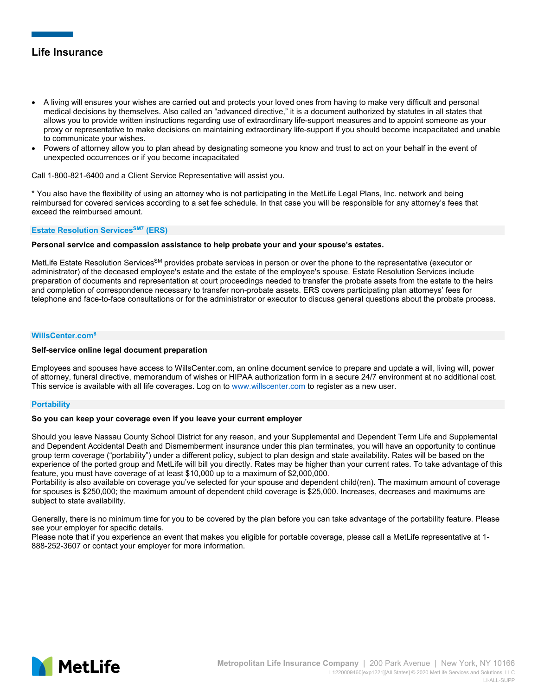- A living will ensures your wishes are carried out and protects your loved ones from having to make very difficult and personal medical decisions by themselves. Also called an "advanced directive," it is a document authorized by statutes in all states that allows you to provide written instructions regarding use of extraordinary life-support measures and to appoint someone as your proxy or representative to make decisions on maintaining extraordinary life-support if you should become incapacitated and unable to communicate your wishes.
- Powers of attorney allow you to plan ahead by designating someone you know and trust to act on your behalf in the event of unexpected occurrences or if you become incapacitated

Call 1-800-821-6400 and a Client Service Representative will assist you.

\* You also have the flexibility of using an attorney who is not participating in the MetLife Legal Plans, Inc. network and being reimbursed for covered services according to a set fee schedule. In that case you will be responsible for any attorney's fees that exceed the reimbursed amount.

**Estate Resolution Services<sup>SM7</sup> (ERS)** 

**Personal service and compassion assistance to help probate your and your spouse's estates.** 

MetLife Estate Resolution Services<sup>SM</sup> provides probate services in person or over the phone to the representative (executor or administrator) of the deceased employee's estate and the estate of the employee's spouse. Estate Resolution Services include preparation of documents and representation at court proceedings needed to transfer the probate assets from the estate to the heirs and completion of correspondence necessary to transfer non-probate assets. ERS covers participating plan attorneys' fees for telephone and face-to-face consultations or for the administrator or executor to discuss general questions about the probate process.

### **WillsCenter.com8**

### **Self-service online legal document preparation**

Employees and spouses have access to WillsCenter.com, an online document service to prepare and update a will, living will, power of attorney, funeral directive, memorandum of wishes or HIPAA authorization form in a secure 24/7 environment at no additional cost. This service is available with all life coverages. Log on to www.willscenter.com to register as a new user.

## **Portability**

## **So you can keep your coverage even if you leave your current employer**

Should you leave Nassau County School District for any reason, and your Supplemental and Dependent Term Life and Supplemental and Dependent Accidental Death and Dismemberment insurance under this plan terminates, you will have an opportunity to continue group term coverage ("portability") under a different policy, subject to plan design and state availability. Rates will be based on the experience of the ported group and MetLife will bill you directly. Rates may be higher than your current rates. To take advantage of this feature, you must have coverage of at least \$10,000 up to a maximum of \$2,000,000.

Portability is also available on coverage you've selected for your spouse and dependent child(ren). The maximum amount of coverage for spouses is \$250,000; the maximum amount of dependent child coverage is \$25,000. Increases, decreases and maximums are subject to state availability.

Generally, there is no minimum time for you to be covered by the plan before you can take advantage of the portability feature. Please see your employer for specific details.

Please note that if you experience an event that makes you eligible for portable coverage, please call a MetLife representative at 1- 888-252-3607 or contact your employer for more information.

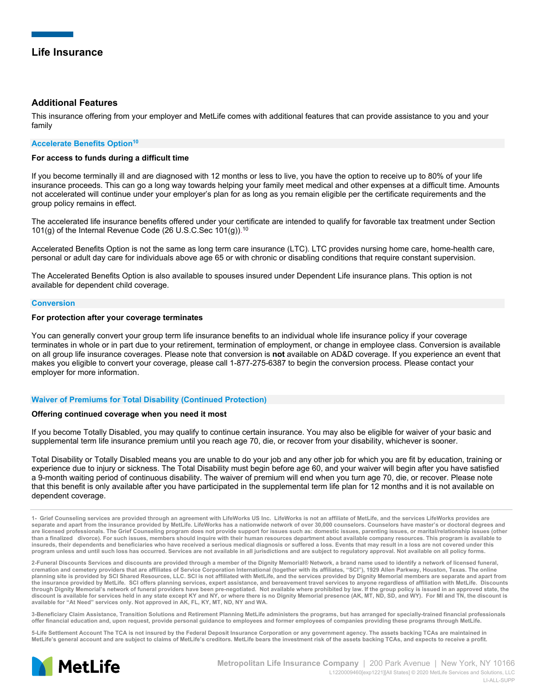## **Additional Features**

This insurance offering from your employer and MetLife comes with additional features that can provide assistance to you and your family

## **Accelerate Benefits Option<sup>10</sup>**

## **For access to funds during a difficult time**

If you become terminally ill and are diagnosed with 12 months or less to live, you have the option to receive up to 80% of your life insurance proceeds. This can go a long way towards helping your family meet medical and other expenses at a difficult time. Amounts not accelerated will continue under your employer's plan for as long as you remain eligible per the certificate requirements and the group policy remains in effect.

The accelerated life insurance benefits offered under your certificate are intended to qualify for favorable tax treatment under Section 101(g) of the Internal Revenue Code (26 U.S.C.Sec 101(g)). 10

Accelerated Benefits Option is not the same as long term care insurance (LTC). LTC provides nursing home care, home-health care, personal or adult day care for individuals above age 65 or with chronic or disabling conditions that require constant supervision.

The Accelerated Benefits Option is also available to spouses insured under Dependent Life insurance plans. This option is not available for dependent child coverage.

## **Conversion**

## **For protection after your coverage terminates**

You can generally convert your group term life insurance benefits to an individual whole life insurance policy if your coverage terminates in whole or in part due to your retirement, termination of employment, or change in employee class. Conversion is available on all group life insurance coverages. Please note that conversion is **not** available on AD&D coverage. If you experience an event that makes you eligible to convert your coverage, please call 1-877-275-6387 to begin the conversion process. Please contact your employer for more information.

### **Waiver of Premiums for Total Disability (Continued Protection)**

### **Offering continued coverage when you need it most**

If you become Totally Disabled, you may qualify to continue certain insurance. You may also be eligible for waiver of your basic and supplemental term life insurance premium until you reach age 70, die, or recover from your disability, whichever is sooner.

Total Disability or Totally Disabled means you are unable to do your job and any other job for which you are fit by education, training or experience due to injury or sickness. The Total Disability must begin before age 60, and your waiver will begin after you have satisfied a 9-month waiting period of continuous disability. The waiver of premium will end when you turn age 70, die, or recover. Please note that this benefit is only available after you have participated in the supplemental term life plan for 12 months and it is not available on dependent coverage.

**3-Beneficiary Claim Assistance, Transition Solutions and Retirement Planning MetLife administers the programs, but has arranged for specially-trained financial professionals offer financial education and, upon request, provide personal guidance to employees and former employees of companies providing these programs through MetLife.** 

**5-Life Settlement Account The TCA is not insured by the Federal Deposit Insurance Corporation or any government agency. The assets backing TCAs are maintained in MetLife's general account and are subject to claims of MetLife's creditors. MetLife bears the investment risk of the assets backing TCAs, and expects to receive a profit.** 



**<sup>1-</sup> Grief Counseling services are provided through an agreement with LifeWorks US Inc. LifeWorks is not an affiliate of MetLife, and the services LifeWorks provides are separate and apart from the insurance provided by MetLife. LifeWorks has a nationwide network of over 30,000 counselors. Counselors have master's or doctoral degrees and are licensed professionals. The Grief Counseling program does not provide support for issues such as: domestic issues, parenting issues, or marital/relationship issues (other than a finalized divorce). For such issues, members should inquire with their human resources department about available company resources. This program is available to insureds, their dependents and beneficiaries who have received a serious medical diagnosis or suffered a loss. Events that may result in a loss are not covered under this program unless and until such loss has occurred. Services are not available in all jurisdictions and are subject to regulatory approval. Not available on all policy forms.** 

**<sup>2-</sup>Funeral Discounts Services and discounts are provided through a member of the Dignity Memorial® Network, a brand name used to identify a network of licensed funeral,**  cremation and cemetery providers that are affiliates of Service Corporation International (together with its affiliates, "SCI"), 1929 Allen Parkway, Houston, Texas. The online<br>planning site is provided by SCI Shared Resour **the insurance provided by MetLife. SCI offers planning services, expert assistance, and bereavement travel services to anyone regardless of affiliation with MetLife. Discounts through Dignity Memorial's network of funeral providers have been pre-negotiated. Not available where prohibited by law. If the group policy is issued in an approved state, the discount is available for services held in any state except KY and NY, or where there is no Dignity Memorial presence (AK, MT, ND, SD, and WY). For MI and TN, the discount is available for "At Need" services only. Not approved in AK, FL, KY, MT, ND, NY and WA.**